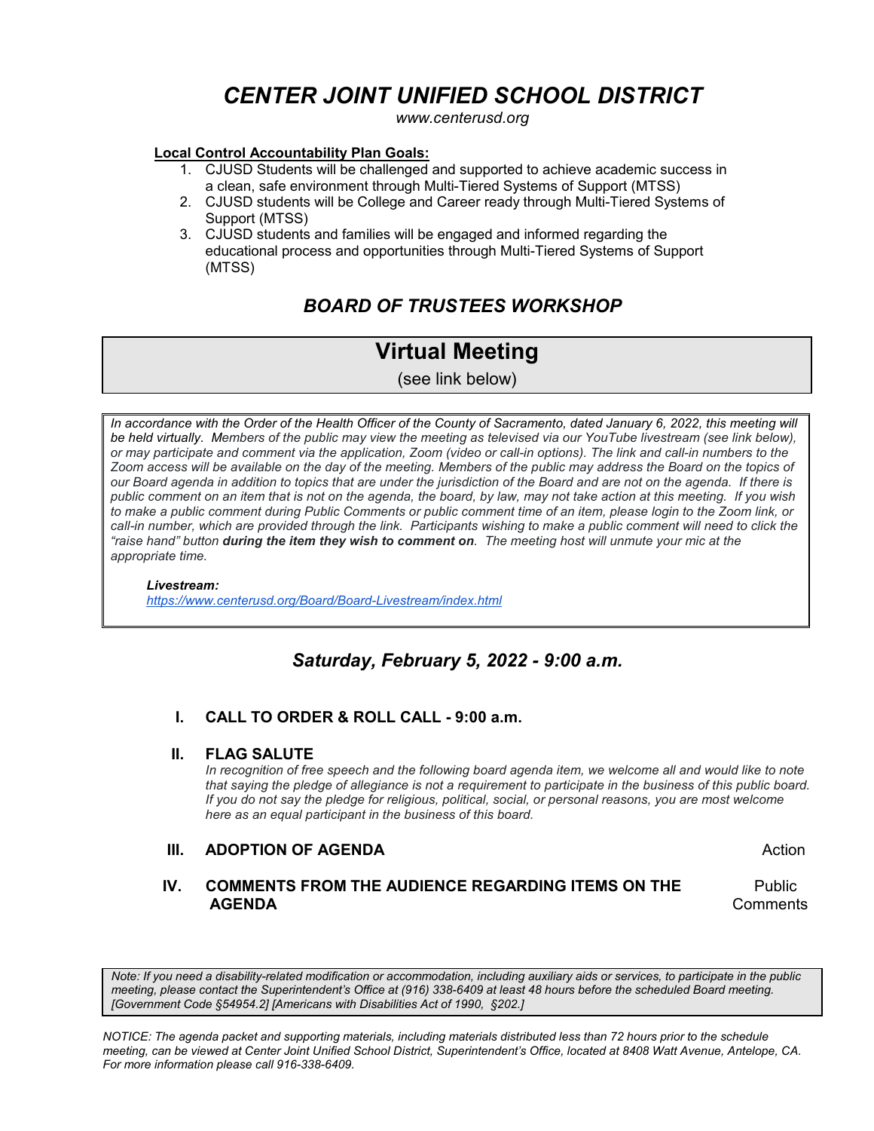# *CENTER JOINT UNIFIED SCHOOL DISTRICT*

*www.centerusd.org*

#### **Local Control Accountability Plan Goals:**

- 1. CJUSD Students will be challenged and supported to achieve academic success in a clean, safe environment through Multi-Tiered Systems of Support (MTSS)
- 2. CJUSD students will be College and Career ready through Multi-Tiered Systems of Support (MTSS)
- 3. CJUSD students and families will be engaged and informed regarding the educational process and opportunities through Multi-Tiered Systems of Support (MTSS)

# *BOARD OF TRUSTEES WORKSHOP*

# **Virtual Meeting**

(see link below)

In accordance with the Order of the Health Officer of the County of Sacramento, dated January 6, 2022, this meeting will *be held virtually. Members of the public may view the meeting as televised via our YouTube livestream (see link below), or may participate and comment via the application, Zoom (video or call-in options). The link and call-in numbers to the Zoom access will be available on the day of the meeting. Members of the public may address the Board on the topics of our Board agenda in addition to topics that are under the jurisdiction of the Board and are not on the agenda. If there is public comment on an item that is not on the agenda, the board, by law, may not take action at this meeting. If you wish*  to make a public comment during Public Comments or public comment time of an item, please login to the Zoom link, or *call-in number, which are provided through the link. Participants wishing to make a public comment will need to click the "raise hand" button during the item they wish to comment on. The meeting host will unmute your mic at the appropriate time.*

 *Livestream: <https://www.centerusd.org/Board/Board-Livestream/index.html>*

# *Saturday, February 5, 2022 - 9:00 a.m.*

 **I. CALL TO ORDER & ROLL CALL - 9:00 a.m.**

#### **II. FLAG SALUTE**

*In recognition of free speech and the following board agenda item, we welcome all and would like to note that saying the pledge of allegiance is not a requirement to participate in the business of this public board. If you do not say the pledge for religious, political, social, or personal reasons, you are most welcome here as an equal participant in the business of this board.*

#### **III. ADOPTION OF AGENDA Action Action**

## **IV. COMMENTS FROM THE AUDIENCE REGARDING ITEMS ON THE** Public **AGENDA** Comments

*Note: If you need a disability-related modification or accommodation, including auxiliary aids or services, to participate in the public meeting, please contact the Superintendent's Office at (916) 338-6409 at least 48 hours before the scheduled Board meeting. [Government Code §54954.2] [Americans with Disabilities Act of 1990, §202.]*

*NOTICE: The agenda packet and supporting materials, including materials distributed less than 72 hours prior to the schedule meeting, can be viewed at Center Joint Unified School District, Superintendent's Office, located at 8408 Watt Avenue, Antelope, CA. For more information please call 916-338-6409.*